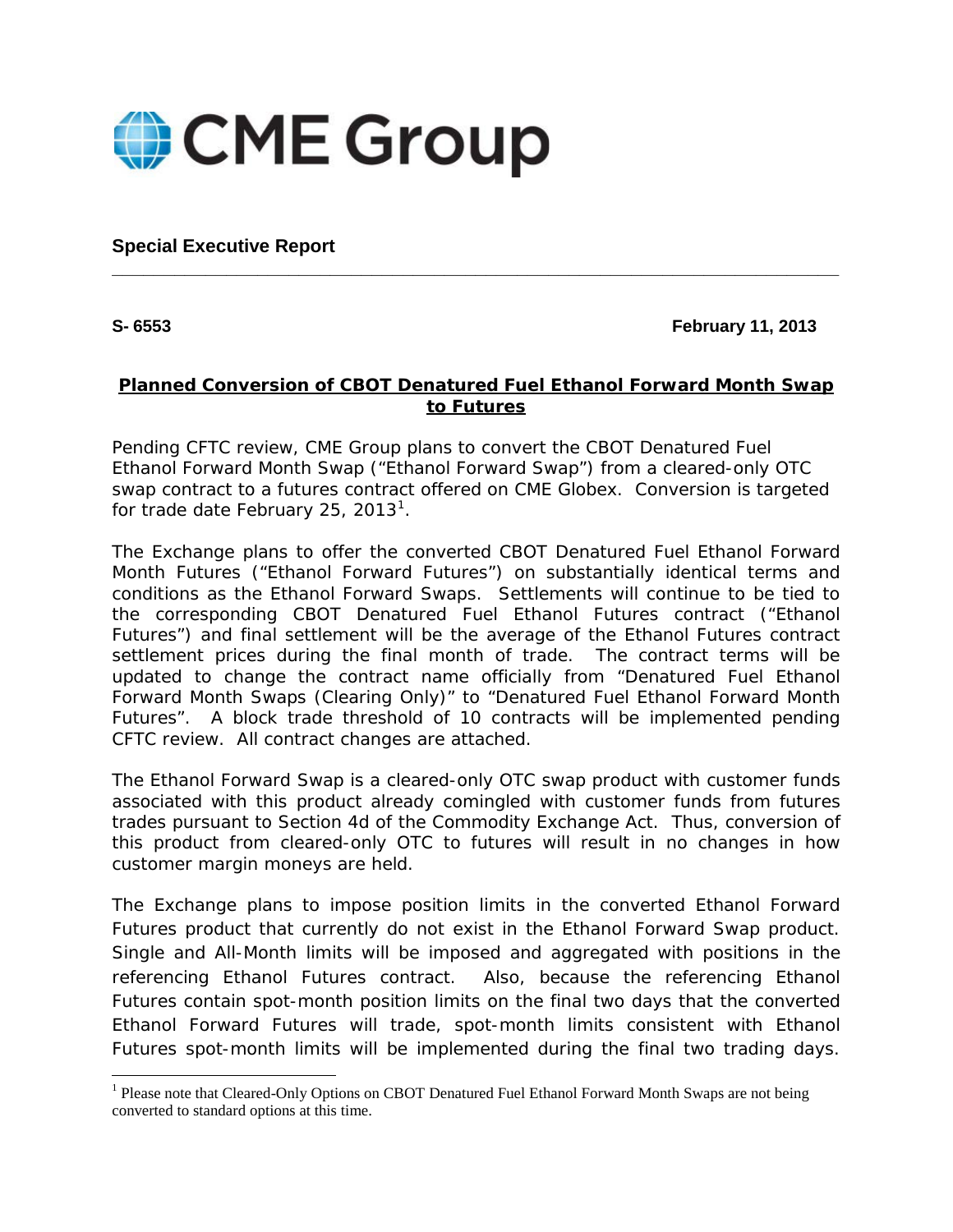

**Special Executive Report**

#### **S- 6553 February 11, 2013**

### **Planned Conversion of CBOT Denatured Fuel Ethanol Forward Month Swap to Futures**

**\_\_\_\_\_\_\_\_\_\_\_\_\_\_\_\_\_\_\_\_\_\_\_\_\_\_\_\_\_\_\_\_\_\_\_\_\_\_\_\_\_\_\_\_\_\_\_\_\_\_\_\_\_\_\_\_\_\_\_\_\_\_\_\_\_\_\_\_\_\_**

Pending CFTC review, CME Group plans to convert the CBOT Denatured Fuel Ethanol Forward Month Swap ("Ethanol Forward Swap") from a cleared-only OTC swap contract to a futures contract offered on CME Globex. Conversion is targeted for trade date February 25, 20[1](#page-0-0)3<sup>1</sup>.

The Exchange plans to offer the converted CBOT Denatured Fuel Ethanol Forward Month Futures ("Ethanol Forward Futures") on substantially identical terms and conditions as the Ethanol Forward Swaps. Settlements will continue to be tied to the corresponding CBOT Denatured Fuel Ethanol Futures contract ("Ethanol Futures") and final settlement will be the average of the Ethanol Futures contract settlement prices during the final month of trade. The contract terms will be updated to change the contract name officially from "Denatured Fuel Ethanol Forward Month Swaps (Clearing Only)" to "Denatured Fuel Ethanol Forward Month Futures". A block trade threshold of 10 contracts will be implemented pending CFTC review. All contract changes are attached.

The Ethanol Forward Swap is a cleared-only OTC swap product with customer funds associated with this product already comingled with customer funds from futures trades pursuant to Section 4d of the Commodity Exchange Act. Thus, conversion of this product from cleared-only OTC to futures will result in no changes in how customer margin moneys are held.

<span id="page-0-1"></span>The Exchange plans to impose position limits in the converted Ethanol Forward Futures product that currently do not exist in the Ethanol Forward Swap product. Single and All-Month limits will be imposed and aggregated with positions in the referencing Ethanol Futures contract. Also, because the referencing Ethanol Futures contain spot-month position limits on the final two days that the converted Ethanol Forward Futures will trade, spot-month limits consistent with Ethanol Futures spot-month limits will be implemented during the final two trading days.

<span id="page-0-0"></span><sup>&</sup>lt;sup>1</sup> Please note that Cleared-Only Options on CBOT Denatured Fuel Ethanol Forward Month Swaps are not being converted to standard options at this time.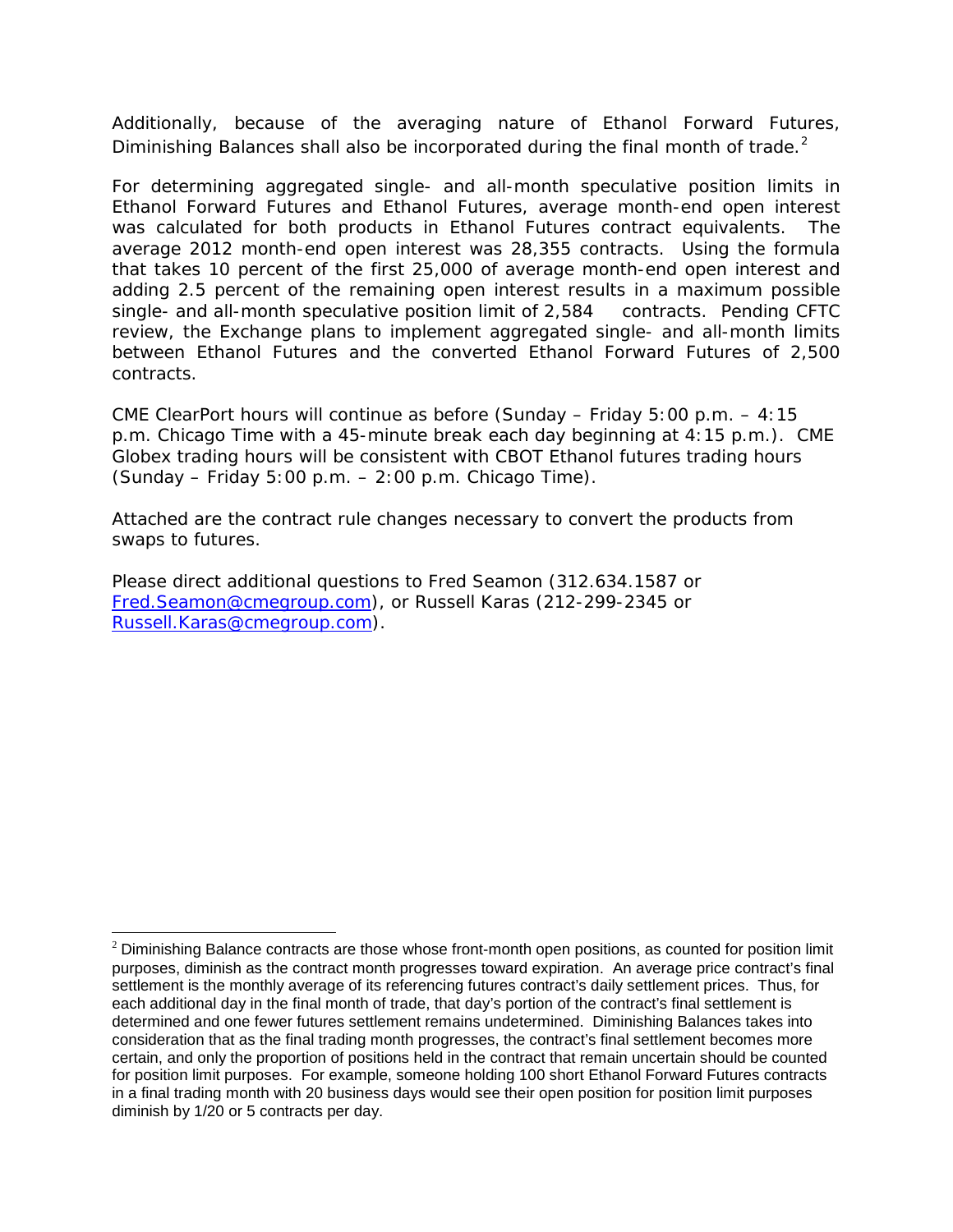Additionally, because of the averaging nature of Ethanol Forward Futures, Diminishing Balances shall also be incorporated during the final month of trade. $2$ 

For determining aggregated single- and all-month speculative position limits in Ethanol Forward Futures and Ethanol Futures, average month-end open interest was calculated for both products in Ethanol Futures contract equivalents. The average 2012 month-end open interest was 28,355 contracts. Using the formula that takes 10 percent of the first 25,000 of average month-end open interest and adding 2.5 percent of the remaining open interest results in a maximum possible single- and all-month speculative position limit of 2,584 contracts. Pending CFTC review, the Exchange plans to implement aggregated single- and all-month limits between Ethanol Futures and the converted Ethanol Forward Futures of 2,500 contracts.

CME ClearPort hours will continue as before (Sunday – Friday 5:00 p.m. – 4:15 p.m. Chicago Time with a 45-minute break each day beginning at 4:15 p.m.). CME Globex trading hours will be consistent with CBOT Ethanol futures trading hours (Sunday – Friday 5:00 p.m. – 2:00 p.m. Chicago Time).

Attached are the contract rule changes necessary to convert the products from swaps to futures.

Please direct additional questions to Fred Seamon (312.634.1587 or [Fred.Seamon@cmegroup.com\)](mailto:Fred.Seamon@cmegroup.com), or Russell Karas (212-299-2345 or [Russell.Karas@cmegroup.com\)](mailto:Russell.Karas@cmegroup.com).

 $\overline{\phantom{a}}$ 

<span id="page-1-0"></span> $2$  Diminishing Balance contracts are those whose front-month open positions, as counted for position limit purposes, diminish as the contract month progresses toward expiration. An average price contract's final settlement is the monthly average of its referencing futures contract's daily settlement prices. Thus, for each additional day in the final month of trade, that day's portion of the contract's final settlement is determined and one fewer futures settlement remains undetermined. Diminishing Balances takes into consideration that as the final trading month progresses, the contract's final settlement becomes more certain, and only the proportion of positions held in the contract that remain uncertain should be counted for position limit purposes. For example, someone holding 100 short Ethanol Forward Futures contracts in a final trading month with 20 business days would see their open position for position limit purposes diminish by 1/20 or 5 contracts per day.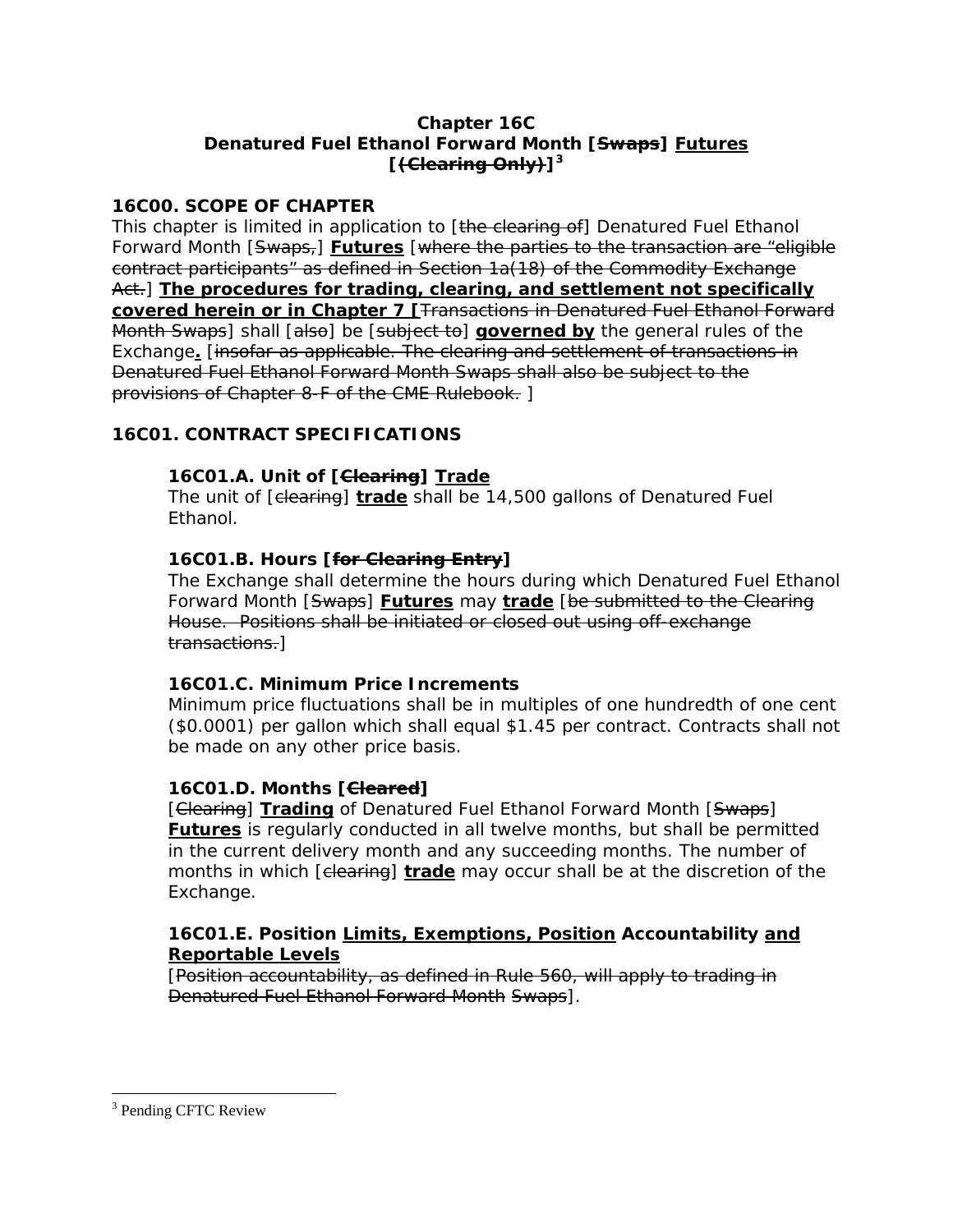### **Chapter 16C Denatured Fuel Ethanol Forward Month [Swaps] Futures [(Clearing Only)][3](#page-1-0)**

### **16C00. SCOPE OF CHAPTER**

This chapter is limited in application to [the clearing of] Denatured Fuel Ethanol Forward Month [Swaps,] **Futures** [where the parties to the transaction are "eligible contract participants" as defined in Section 1a(18) of the Commodity Exchange Act.] **The procedures for trading, clearing, and settlement not specifically covered herein or in Chapter 7 [**Transactions in Denatured Fuel Ethanol Forward Month Swaps] shall [also] be [subject to] **governed by** the general rules of the Exchange**.** [insofar as applicable. The clearing and settlement of transactions in Denatured Fuel Ethanol Forward Month Swaps shall also be subject to the provisions of Chapter 8-F of the CME Rulebook. ]

# **16C01. CONTRACT SPECIFICATIONS**

# **16C01.A. Unit of [Clearing] Trade**

The unit of [clearing] **trade** shall be 14,500 gallons of Denatured Fuel Ethanol.

# **16C01.B. Hours [for Clearing Entry]**

The Exchange shall determine the hours during which Denatured Fuel Ethanol Forward Month [Swaps] **Futures** may **trade** [be submitted to the Clearing House. Positions shall be initiated or closed out using off-exchange transactions.]

# **16C01.C. Minimum Price Increments**

Minimum price fluctuations shall be in multiples of one hundredth of one cent (\$0.0001) per gallon which shall equal \$1.45 per contract. Contracts shall not be made on any other price basis.

# **16C01.D. Months [Cleared]**

[Clearing] **Trading** of Denatured Fuel Ethanol Forward Month [Swaps] **Futures** is regularly conducted in all twelve months, but shall be permitted in the current delivery month and any succeeding months. The number of months in which [elearing] **trade** may occur shall be at the discretion of the Exchange.

### **16C01.E. Position Limits, Exemptions, Position Accountability and Reportable Levels**

[Position accountability, as defined in Rule 560, will apply to trading in Denatured Fuel Ethanol Forward Month Swaps].

<sup>&</sup>lt;sup>3</sup> Pending CFTC Review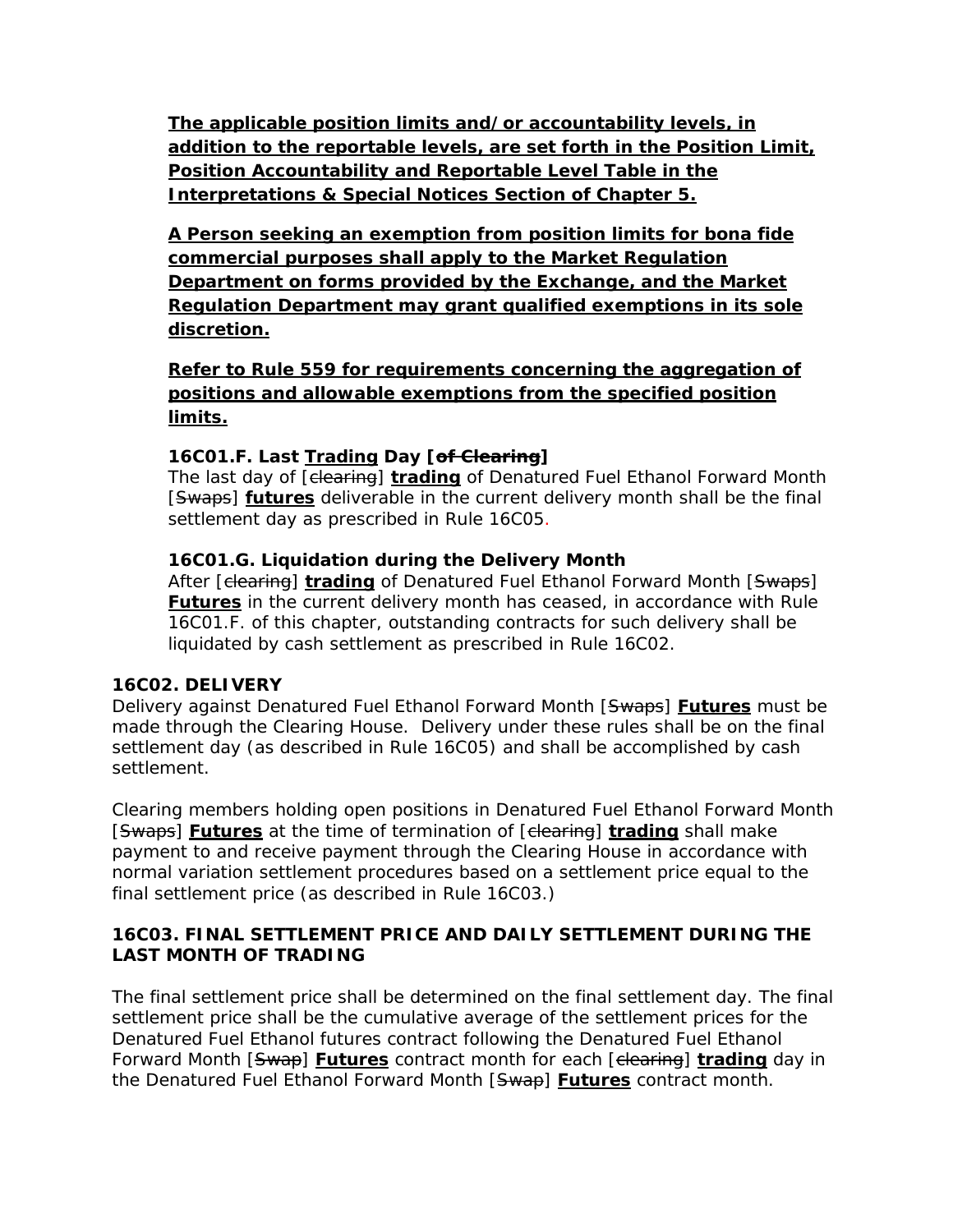**The applicable position limits and/or accountability levels, in addition to the reportable levels, are set forth in the Position Limit, Position Accountability and Reportable Level Table in the Interpretations & Special Notices Section of Chapter 5.** 

**A Person seeking an exemption from position limits for bona fide commercial purposes shall apply to the Market Regulation Department on forms provided by the Exchange, and the Market Regulation Department may grant qualified exemptions in its sole discretion.**

**Refer to Rule 559 for requirements concerning the aggregation of positions and allowable exemptions from the specified position limits.**

# **16C01.F. Last Trading Day [of Clearing]**

The last day of [clearing] **trading** of Denatured Fuel Ethanol Forward Month [Swaps] **futures** deliverable in the current delivery month shall be the final settlement day as prescribed in Rule 16C05.

# **16C01.G. Liquidation during the Delivery Month**

After [elearing] **trading** of Denatured Fuel Ethanol Forward Month [Swaps] **Futures** in the current delivery month has ceased, in accordance with Rule 16C01.F. of this chapter, outstanding contracts for such delivery shall be liquidated by cash settlement as prescribed in Rule 16C02.

# **16C02. DELIVERY**

Delivery against Denatured Fuel Ethanol Forward Month [Swaps] **Futures** must be made through the Clearing House. Delivery under these rules shall be on the final settlement day (as described in Rule 16C05) and shall be accomplished by cash settlement.

Clearing members holding open positions in Denatured Fuel Ethanol Forward Month [Swaps] **Futures** at the time of termination of [clearing] **trading** shall make payment to and receive payment through the Clearing House in accordance with normal variation settlement procedures based on a settlement price equal to the final settlement price (as described in Rule 16C03.)

# **16C03. FINAL SETTLEMENT PRICE AND DAILY SETTLEMENT DURING THE LAST MONTH OF TRADING**

The final settlement price shall be determined on the final settlement day. The final settlement price shall be the cumulative average of the settlement prices for the Denatured Fuel Ethanol futures contract following the Denatured Fuel Ethanol Forward Month [Swap] **Futures** contract month for each [clearing] **trading** day in the Denatured Fuel Ethanol Forward Month [Swap] **Futures** contract month.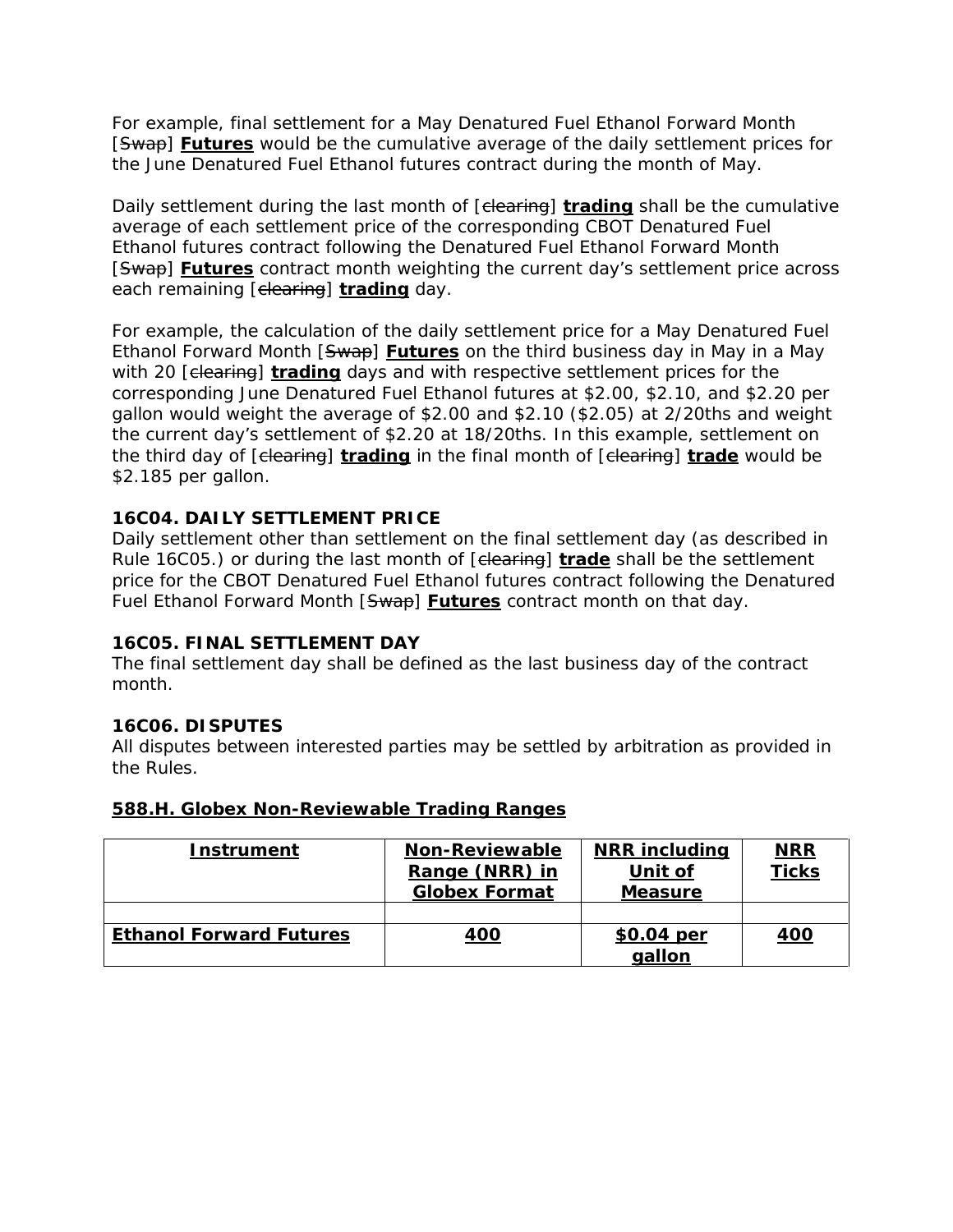For example, final settlement for a May Denatured Fuel Ethanol Forward Month [Swap] **Futures** would be the cumulative average of the daily settlement prices for the June Denatured Fuel Ethanol futures contract during the month of May.

Daily settlement during the last month of [clearing] **trading** shall be the cumulative average of each settlement price of the corresponding CBOT Denatured Fuel Ethanol futures contract following the Denatured Fuel Ethanol Forward Month [Swap] **Futures** contract month weighting the current day's settlement price across each remaining [clearing] **trading** day.

For example, the calculation of the daily settlement price for a May Denatured Fuel Ethanol Forward Month [Swap] **Futures** on the third business day in May in a May with 20 [clearing] **trading** days and with respective settlement prices for the corresponding June Denatured Fuel Ethanol futures at \$2.00, \$2.10, and \$2.20 per gallon would weight the average of \$2.00 and \$2.10 (\$2.05) at 2/20ths and weight the current day's settlement of \$2.20 at 18/20ths. In this example, settlement on the third day of [clearing] **trading** in the final month of [clearing] **trade** would be \$2.185 per gallon.

### **16C04. DAILY SETTLEMENT PRICE**

Daily settlement other than settlement on the final settlement day (as described in Rule 16C05.) or during the last month of [clearing] **trade** shall be the settlement price for the CBOT Denatured Fuel Ethanol futures contract following the Denatured Fuel Ethanol Forward Month [Swap] **Futures** contract month on that day.

### **16C05. FINAL SETTLEMENT DAY**

The final settlement day shall be defined as the last business day of the contract month.

### **16C06. DISPUTES**

All disputes between interested parties may be settled by arbitration as provided in the Rules.

#### **588.H. Globex Non-Reviewable Trading Ranges**

| <b>Instrument</b>              | <b>Non-Reviewable</b><br>Range (NRR) in<br><b>Globex Format</b> | <b>NRR including</b><br>Unit of<br><b>Measure</b> | <u>NRR</u><br><b>Ticks</b> |
|--------------------------------|-----------------------------------------------------------------|---------------------------------------------------|----------------------------|
|                                |                                                                 |                                                   |                            |
| <b>Ethanol Forward Futures</b> | <u>400</u>                                                      | \$0.04 per<br>qallon                              | <u>400</u>                 |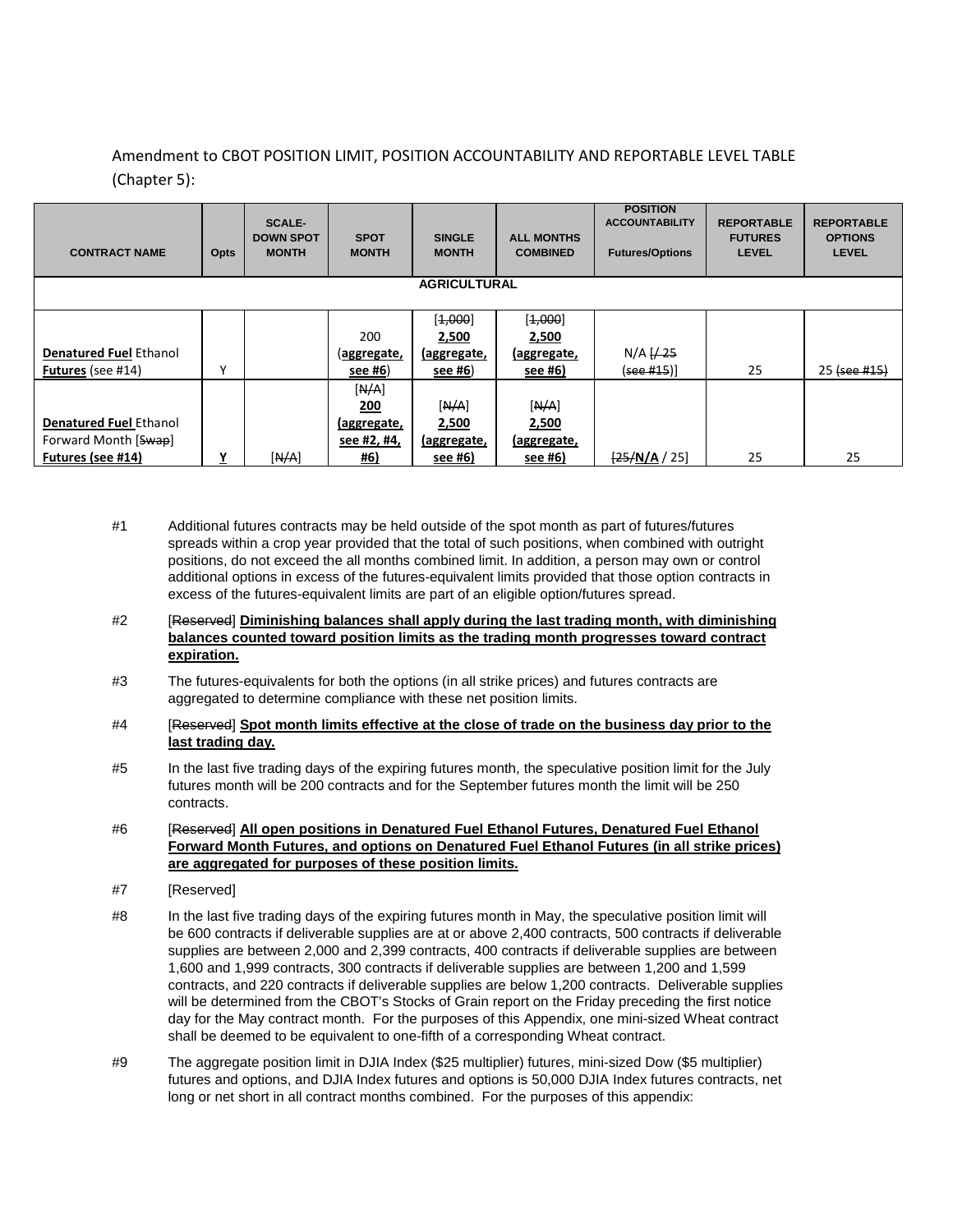### Amendment to CBOT POSITION LIMIT, POSITION ACCOUNTABILITY AND REPORTABLE LEVEL TABLE (Chapter 5):

| <b>CONTRACT NAME</b>          | Opts | <b>SCALE-</b><br><b>DOWN SPOT</b><br><b>MONTH</b> | <b>SPOT</b><br><b>MONTH</b> | <b>SINGLE</b><br><b>MONTH</b> | <b>ALL MONTHS</b><br><b>COMBINED</b> | <b>POSITION</b><br><b>ACCOUNTABILITY</b><br><b>Futures/Options</b> | <b>REPORTABLE</b><br><b>FUTURES</b><br><b>LEVEL</b> | <b>REPORTABLE</b><br><b>OPTIONS</b><br><b>LEVEL</b> |  |  |
|-------------------------------|------|---------------------------------------------------|-----------------------------|-------------------------------|--------------------------------------|--------------------------------------------------------------------|-----------------------------------------------------|-----------------------------------------------------|--|--|
| <b>AGRICULTURAL</b>           |      |                                                   |                             |                               |                                      |                                                                    |                                                     |                                                     |  |  |
|                               |      |                                                   |                             |                               |                                      |                                                                    |                                                     |                                                     |  |  |
|                               |      |                                                   |                             | [4,000]                       | [4,000]                              |                                                                    |                                                     |                                                     |  |  |
|                               |      |                                                   | 200                         | 2,500                         | 2,500                                |                                                                    |                                                     |                                                     |  |  |
| <b>Denatured Fuel Ethanol</b> |      |                                                   | <u>(aggregate,</u>          | <u>(aggregate,</u>            | <u>(aggregate,</u>                   | $N/A \frac{1}{25}$                                                 |                                                     |                                                     |  |  |
| Futures (see #14)             | γ    |                                                   | <u>see #6)</u>              | see #6)                       | see #6)                              | ( <del>see #15</del> )]                                            | 25                                                  | 25 (see #15)                                        |  |  |
|                               |      |                                                   | [N/A]                       |                               |                                      |                                                                    |                                                     |                                                     |  |  |
|                               |      |                                                   | 200                         | [N/A]                         | [N/A]                                |                                                                    |                                                     |                                                     |  |  |
| <b>Denatured Fuel Ethanol</b> |      |                                                   | (aggregate,                 | 2,500                         | 2,500                                |                                                                    |                                                     |                                                     |  |  |
| Forward Month [Swap]          |      |                                                   | see #2, #4,                 | (aggregate,                   | <u>(aggregate,</u>                   |                                                                    |                                                     |                                                     |  |  |
| Futures (see #14)             | Υ    | [N/A]                                             | <u>#6)</u>                  | see #6)                       | see #6)                              | $\frac{25}{N}$ A / 25]                                             | 25                                                  | 25                                                  |  |  |

- #1 Additional futures contracts may be held outside of the spot month as part of futures/futures spreads within a crop year provided that the total of such positions, when combined with outright positions, do not exceed the all months combined limit. In addition, a person may own or control additional options in excess of the futures-equivalent limits provided that those option contracts in excess of the futures-equivalent limits are part of an eligible option/futures spread.
- #2 [Reserved] **Diminishing balances shall apply during the last trading month, with diminishing balances counted toward position limits as the trading month progresses toward contract expiration.**
- #3 The futures-equivalents for both the options (in all strike prices) and futures contracts are aggregated to determine compliance with these net position limits.
- #4 [Reserved] **Spot month limits effective at the close of trade on the business day prior to the last trading day.**
- #5 In the last five trading days of the expiring futures month, the speculative position limit for the July futures month will be 200 contracts and for the September futures month the limit will be 250 contracts.
- #6 [Reserved] **All open positions in Denatured Fuel Ethanol Futures, Denatured Fuel Ethanol Forward Month Futures, and options on Denatured Fuel Ethanol Futures (in all strike prices) are aggregated for purposes of these position limits.**
- #7 [Reserved]
- #8 In the last five trading days of the expiring futures month in May, the speculative position limit will be 600 contracts if deliverable supplies are at or above 2,400 contracts, 500 contracts if deliverable supplies are between 2,000 and 2,399 contracts, 400 contracts if deliverable supplies are between 1,600 and 1,999 contracts, 300 contracts if deliverable supplies are between 1,200 and 1,599 contracts, and 220 contracts if deliverable supplies are below 1,200 contracts. Deliverable supplies will be determined from the CBOT's Stocks of Grain report on the Friday preceding the first notice day for the May contract month. For the purposes of this Appendix, one mini-sized Wheat contract shall be deemed to be equivalent to one-fifth of a corresponding Wheat contract.
- #9 The aggregate position limit in DJIA Index (\$25 multiplier) futures, mini-sized Dow (\$5 multiplier) futures and options, and DJIA Index futures and options is 50,000 DJIA Index futures contracts, net long or net short in all contract months combined. For the purposes of this appendix: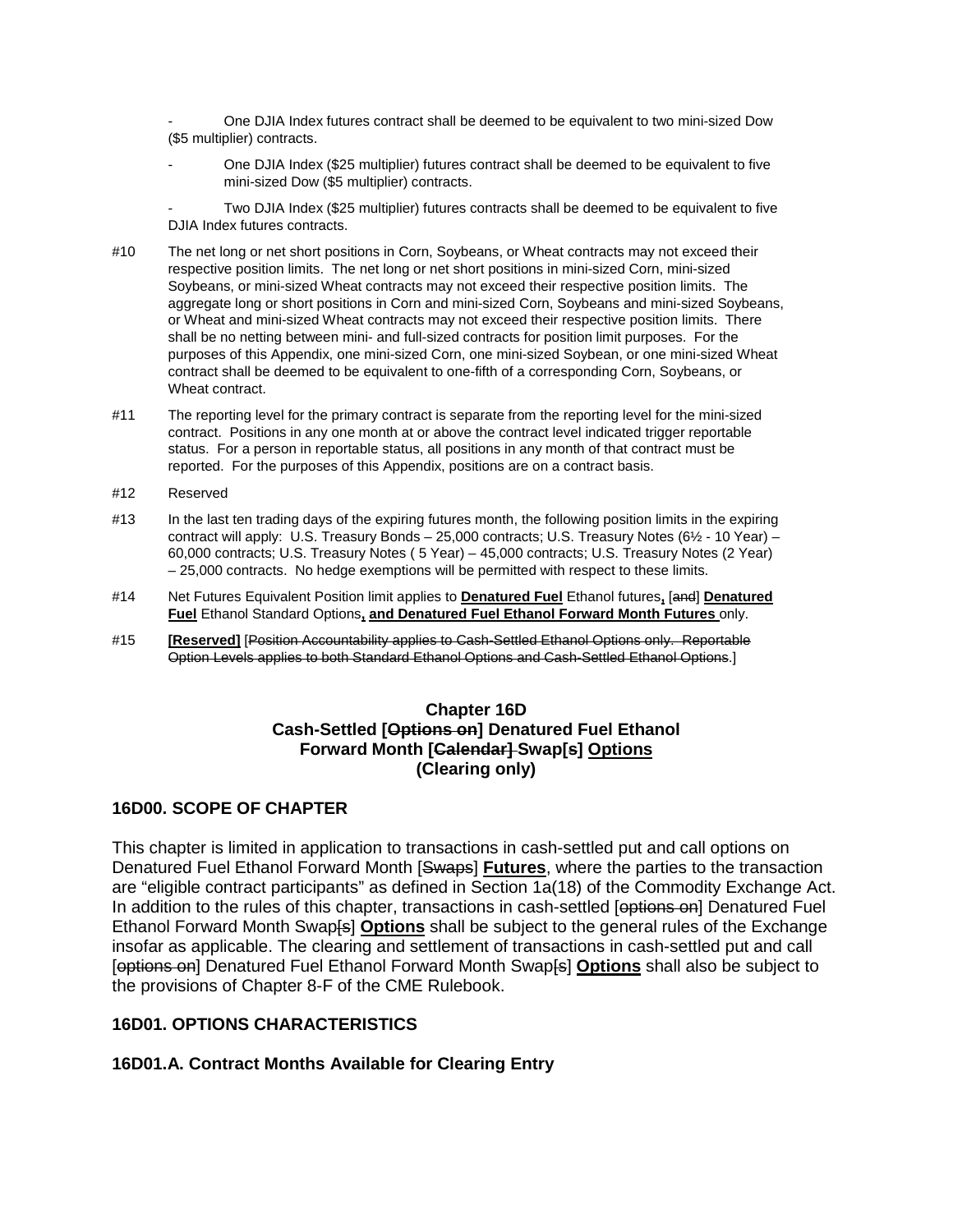- One DJIA Index futures contract shall be deemed to be equivalent to two mini-sized Dow (\$5 multiplier) contracts.

- One DJIA Index (\$25 multiplier) futures contract shall be deemed to be equivalent to five mini-sized Dow (\$5 multiplier) contracts.

Two DJIA Index (\$25 multiplier) futures contracts shall be deemed to be equivalent to five DJIA Index futures contracts.

- #10 The net long or net short positions in Corn, Soybeans, or Wheat contracts may not exceed their respective position limits. The net long or net short positions in mini-sized Corn, mini-sized Soybeans, or mini-sized Wheat contracts may not exceed their respective position limits. The aggregate long or short positions in Corn and mini-sized Corn, Soybeans and mini-sized Soybeans, or Wheat and mini-sized Wheat contracts may not exceed their respective position limits. There shall be no netting between mini- and full-sized contracts for position limit purposes. For the purposes of this Appendix, one mini-sized Corn, one mini-sized Soybean, or one mini-sized Wheat contract shall be deemed to be equivalent to one-fifth of a corresponding Corn, Soybeans, or Wheat contract.
- #11 The reporting level for the primary contract is separate from the reporting level for the mini-sized contract. Positions in any one month at or above the contract level indicated trigger reportable status. For a person in reportable status, all positions in any month of that contract must be reported. For the purposes of this Appendix, positions are on a contract basis.
- #12 Reserved
- #13 In the last ten trading days of the expiring futures month, the following position limits in the expiring contract will apply: U.S. Treasury Bonds – 25,000 contracts; U.S. Treasury Notes (6½ - 10 Year) – 60,000 contracts; U.S. Treasury Notes ( 5 Year) – 45,000 contracts; U.S. Treasury Notes (2 Year) – 25,000 contracts. No hedge exemptions will be permitted with respect to these limits.
- #14 Net Futures Equivalent Position limit applies to **Denatured Fuel** Ethanol futures**,** [and] **Denatured Fuel** Ethanol Standard Options**, and Denatured Fuel Ethanol Forward Month Futures** only.
- #15 **[Reserved]** [Position Accountability applies to Cash-Settled Ethanol Options only. Reportable Option Levels applies to both Standard Ethanol Options and Cash-Settled Ethanol Options.]

#### **Chapter 16D Cash-Settled [Options on] Denatured Fuel Ethanol Forward Month [Calendar] Swap[s] Options (Clearing only)**

### **16D00. SCOPE OF CHAPTER**

This chapter is limited in application to transactions in cash-settled put and call options on Denatured Fuel Ethanol Forward Month [Swaps] **Futures**, where the parties to the transaction are "eligible contract participants" as defined in Section 1a(18) of the Commodity Exchange Act. In addition to the rules of this chapter, transactions in cash-settled [options on] Denatured Fuel Ethanol Forward Month Swap[s] **Options** shall be subject to the general rules of the Exchange insofar as applicable. The clearing and settlement of transactions in cash-settled put and call [options on] Denatured Fuel Ethanol Forward Month Swap[s] **Options** shall also be subject to the provisions of Chapter 8-F of the CME Rulebook.

#### **16D01. OPTIONS CHARACTERISTICS**

### **16D01.A. Contract Months Available for Clearing Entry**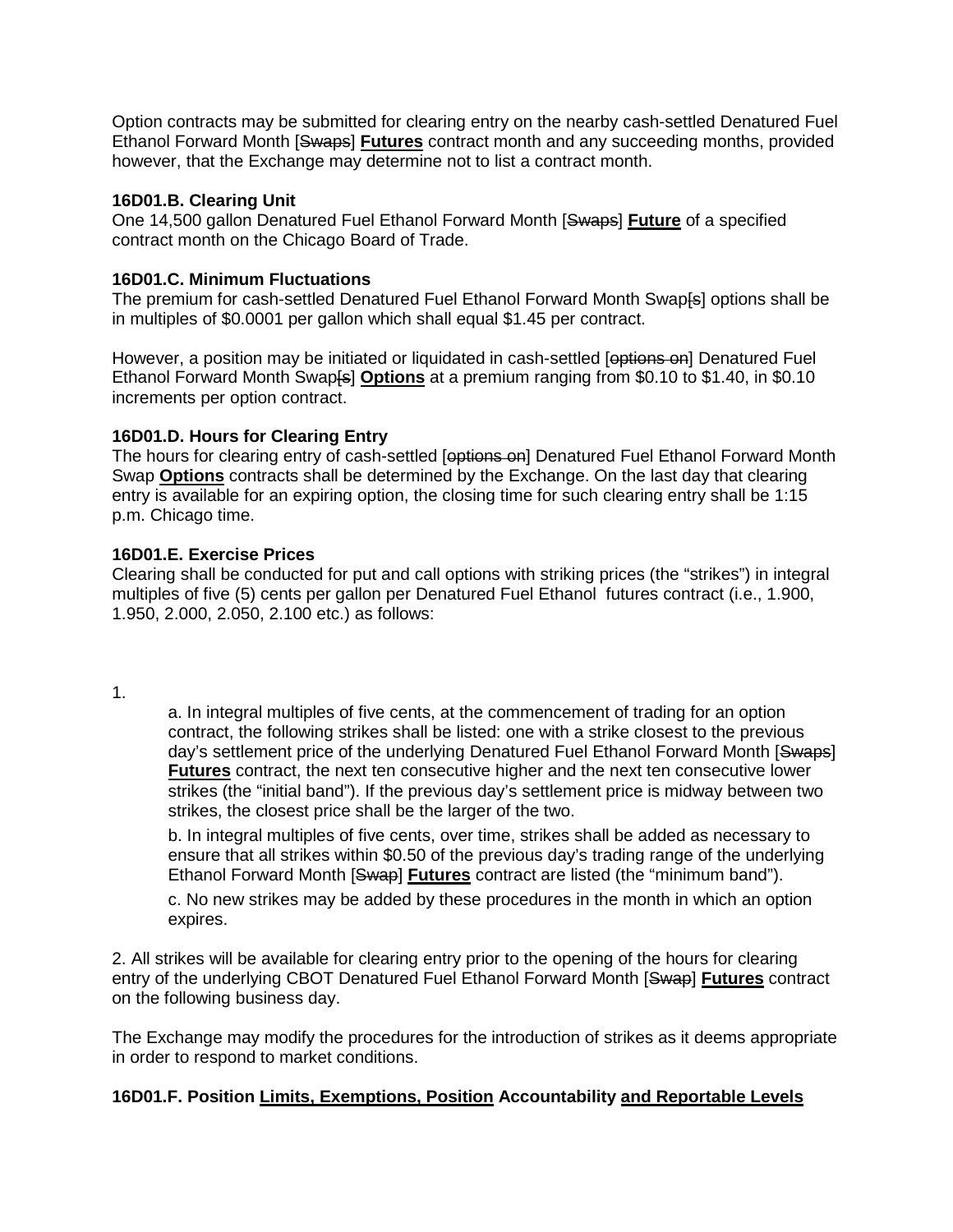Option contracts may be submitted for clearing entry on the nearby cash-settled Denatured Fuel Ethanol Forward Month [Swaps] **Futures** contract month and any succeeding months, provided however, that the Exchange may determine not to list a contract month.

#### **16D01.B. Clearing Unit**

One 14,500 gallon Denatured Fuel Ethanol Forward Month [Swaps] **Future** of a specified contract month on the Chicago Board of Trade.

### **16D01.C. Minimum Fluctuations**

The premium for cash-settled Denatured Fuel Ethanol Forward Month Swap[s] options shall be in multiples of \$0.0001 per gallon which shall equal \$1.45 per contract.

However, a position may be initiated or liquidated in cash-settled [options on] Denatured Fuel Ethanol Forward Month Swap<sup>[</sup>s<sup>]</sup> Options at a premium ranging from \$0.10 to \$1.40, in \$0.10 increments per option contract.

#### **16D01.D. Hours for Clearing Entry**

The hours for clearing entry of cash-settled [options on] Denatured Fuel Ethanol Forward Month Swap **Options** contracts shall be determined by the Exchange. On the last day that clearing entry is available for an expiring option, the closing time for such clearing entry shall be 1:15 p.m. Chicago time.

#### **16D01.E. Exercise Prices**

Clearing shall be conducted for put and call options with striking prices (the "strikes") in integral multiples of five (5) cents per gallon per Denatured Fuel Ethanol futures contract (i.e., 1.900, 1.950, 2.000, 2.050, 2.100 etc.) as follows:

1.

a. In integral multiples of five cents, at the commencement of trading for an option contract, the following strikes shall be listed: one with a strike closest to the previous day's settlement price of the underlying Denatured Fuel Ethanol Forward Month [Swaps] **Futures** contract, the next ten consecutive higher and the next ten consecutive lower strikes (the "initial band"). If the previous day's settlement price is midway between two strikes, the closest price shall be the larger of the two.

b. In integral multiples of five cents, over time, strikes shall be added as necessary to ensure that all strikes within \$0.50 of the previous day's trading range of the underlying Ethanol Forward Month [Swap] **Futures** contract are listed (the "minimum band").

c. No new strikes may be added by these procedures in the month in which an option expires.

2. All strikes will be available for clearing entry prior to the opening of the hours for clearing entry of the underlying CBOT Denatured Fuel Ethanol Forward Month [Swap] **Futures** contract on the following business day.

The Exchange may modify the procedures for the introduction of strikes as it deems appropriate in order to respond to market conditions.

### **16D01.F. Position Limits, Exemptions, Position Accountability and Reportable Levels**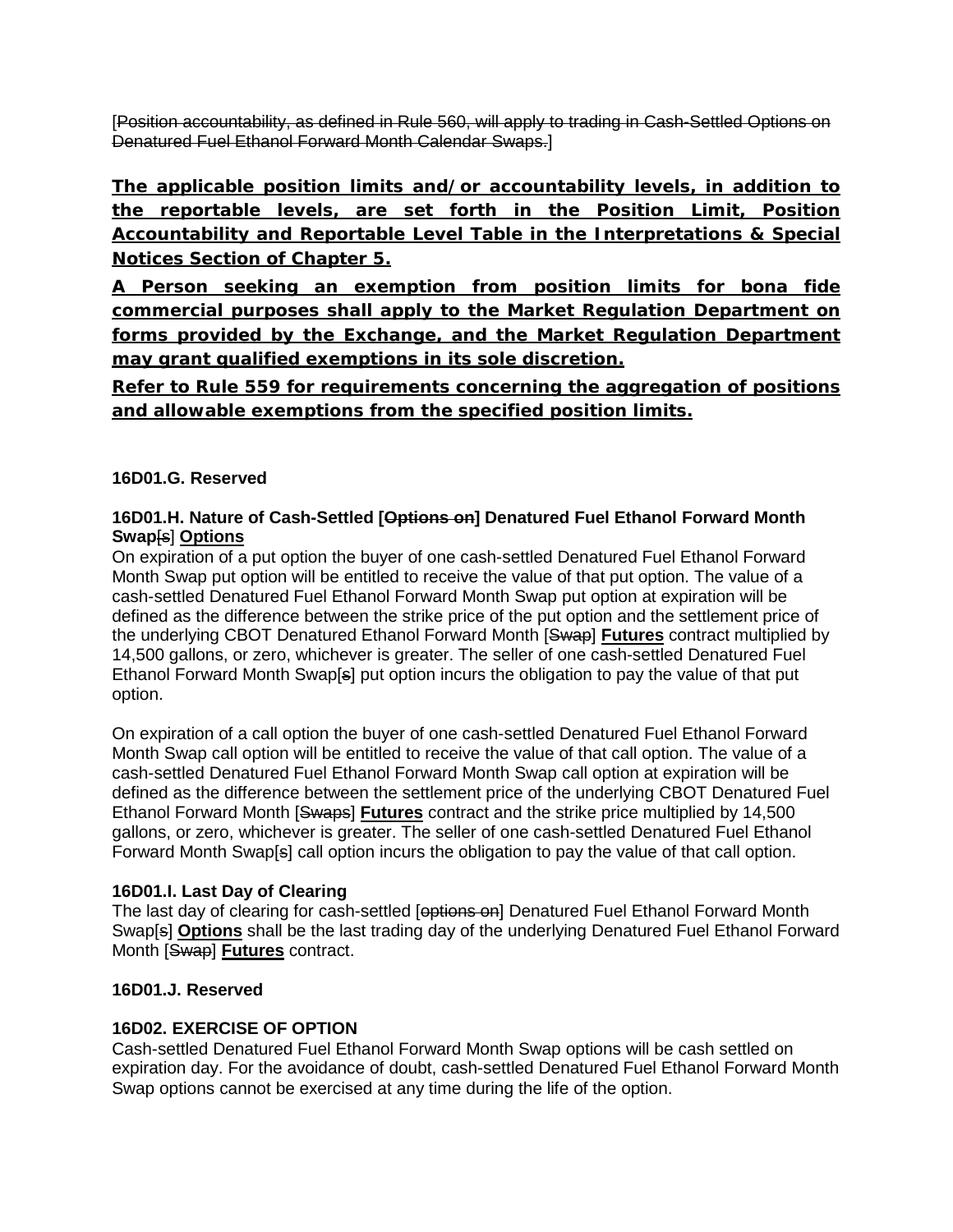[Position accountability, as defined in Rule 560, will apply to trading in Cash-Settled Options on Denatured Fuel Ethanol Forward Month Calendar Swaps.]

**The applicable position limits and/or accountability levels, in addition to the reportable levels, are set forth in the Position Limit, Position Accountability and Reportable Level Table in the Interpretations & Special Notices Section of Chapter 5.** 

**A Person seeking an exemption from position limits for bona fide commercial purposes shall apply to the Market Regulation Department on forms provided by the Exchange, and the Market Regulation Department may grant qualified exemptions in its sole discretion.**

**Refer to Rule 559 for requirements concerning the aggregation of positions and allowable exemptions from the specified position limits.**

# **16D01.G. Reserved**

### **16D01.H. Nature of Cash-Settled [Options on] Denatured Fuel Ethanol Forward Month Swap**[s] **Options**

On expiration of a put option the buyer of one cash-settled Denatured Fuel Ethanol Forward Month Swap put option will be entitled to receive the value of that put option. The value of a cash-settled Denatured Fuel Ethanol Forward Month Swap put option at expiration will be defined as the difference between the strike price of the put option and the settlement price of the underlying CBOT Denatured Ethanol Forward Month [Swap] **Futures** contract multiplied by 14,500 gallons, or zero, whichever is greater. The seller of one cash-settled Denatured Fuel Ethanol Forward Month Swap[s] put option incurs the obligation to pay the value of that put option.

On expiration of a call option the buyer of one cash-settled Denatured Fuel Ethanol Forward Month Swap call option will be entitled to receive the value of that call option. The value of a cash-settled Denatured Fuel Ethanol Forward Month Swap call option at expiration will be defined as the difference between the settlement price of the underlying CBOT Denatured Fuel Ethanol Forward Month [Swaps] **Futures** contract and the strike price multiplied by 14,500 gallons, or zero, whichever is greater. The seller of one cash-settled Denatured Fuel Ethanol Forward Month Swap[s] call option incurs the obligation to pay the value of that call option.

# **16D01.I. Last Day of Clearing**

The last day of clearing for cash-settled [options on] Denatured Fuel Ethanol Forward Month Swap[s] **Options** shall be the last trading day of the underlying Denatured Fuel Ethanol Forward Month [Swap] **Futures** contract.

# **16D01.J. Reserved**

# **16D02. EXERCISE OF OPTION**

Cash-settled Denatured Fuel Ethanol Forward Month Swap options will be cash settled on expiration day. For the avoidance of doubt, cash-settled Denatured Fuel Ethanol Forward Month Swap options cannot be exercised at any time during the life of the option.